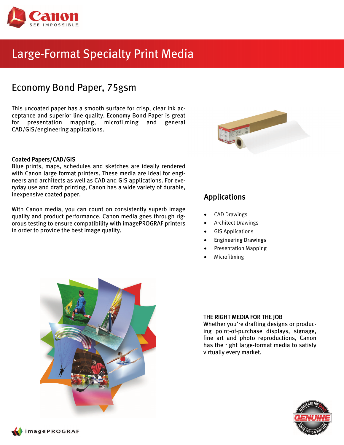

# Large-Format Specialty Print Media

## Economy Bond Paper, 75gsm

This uncoated paper has a smooth surface for crisp, clear ink acceptance and superior line quality. Economy Bond Paper is great for presentation mapping, microfilming and general CAD/GIS/engineering applications.

## Coated Papers/CAD/GIS

Blue prints, maps, schedules and sketches are ideally rendered with Canon large format printers. These media are ideal for engineers and architects as well as CAD and GIS applications. For everyday use and draft printing, Canon has a wide variety of durable, inexpensive coated paper. The same of the set of the set of the set of the set of the set of the set of the set o

With Canon media, you can count on consistently superb image quality and product performance. Canon media goes through rigorous testing to ensure compatibility with imagePROGRAF printers in order to provide the best image quality.



- CAD Drawings
- Architect Drawings
- GIS Applications
- Engineering Drawings
- Presentation Mapping
- Microfilming



## THE RIGHT MEDIA FOR THE JOB

Whether you're drafting designs or producing point-of-purchase displays, signage, fine art and photo reproductions, Canon has the right large-format media to satisfy virtually every market.